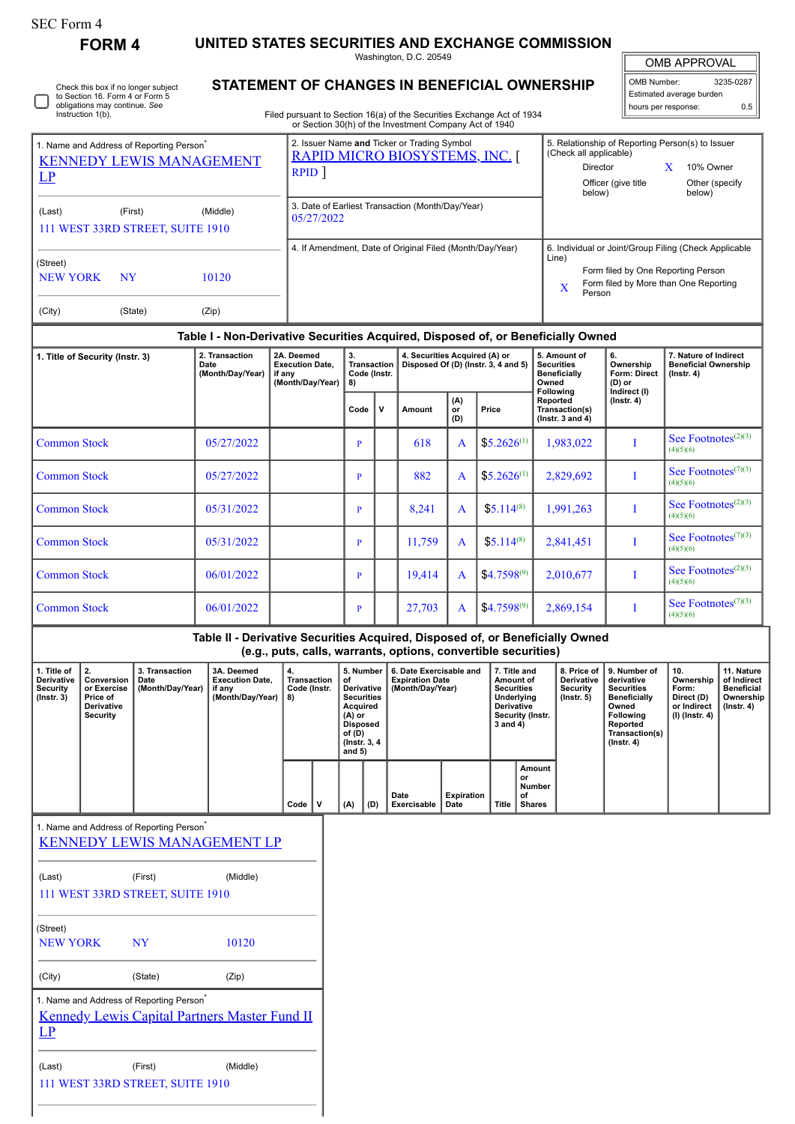| SEC Form 4 |
|------------|
|------------|

**FORM 4 UNITED STATES SECURITIES AND EXCHANGE COMMISSION**

Washington, D.C. 20549

|  | Check this box if no longer subject<br>to Section 16. Form 4 or Form 5<br>obligations may continue. See<br>Instruction 1(b). |
|--|------------------------------------------------------------------------------------------------------------------------------|
|--|------------------------------------------------------------------------------------------------------------------------------|

# **STATEMENT OF CHANGES IN BENEFICIAL OWNERSHIP**

Filed pursuant to Section 16(a) of the Securities Exchange Act of 1934 or Section 30(h) of the Investment Company Act of 1940

| <b>OMB APPROVAL</b> |  |
|---------------------|--|
|                     |  |

OMB Number: 3235-0287 Estimated average burden hours per response: 0.5

| 1. Name and Address of Reporting Person <sup>®</sup>                             |                                                         |                                 | 2. Issuer Name and Ticker or Trading Symbol<br><b>RAPID MICRO BIOSYSTEMS, INC.</b> | 5. Relationship of Reporting Person(s) to Issuer<br>(Check all applicable)                          |  |  |  |  |
|----------------------------------------------------------------------------------|---------------------------------------------------------|---------------------------------|------------------------------------------------------------------------------------|-----------------------------------------------------------------------------------------------------|--|--|--|--|
|                                                                                  |                                                         | <b>KENNEDY LEWIS MANAGEMENT</b> | <b>RPID</b>                                                                        | 10% Owner<br>Director                                                                               |  |  |  |  |
| $L_{\rm P}$                                                                      |                                                         |                                 |                                                                                    | Officer (give title<br>Other (specify<br>below)<br>below)                                           |  |  |  |  |
| (Last)                                                                           | (Middle)<br>(First)<br>111 WEST 33RD STREET, SUITE 1910 |                                 | 3. Date of Earliest Transaction (Month/Day/Year)<br>05/27/2022                     |                                                                                                     |  |  |  |  |
|                                                                                  |                                                         |                                 | 4. If Amendment, Date of Original Filed (Month/Day/Year)                           | 6. Individual or Joint/Group Filing (Check Applicable                                               |  |  |  |  |
| (Street)<br><b>NEW YORK</b>                                                      | <b>NY</b>                                               | 10120                           |                                                                                    | Line)<br>Form filed by One Reporting Person<br>Form filed by More than One Reporting<br>X<br>Person |  |  |  |  |
| (City)                                                                           | (State)                                                 | (Zip)                           |                                                                                    |                                                                                                     |  |  |  |  |
| Table I - Non-Derivative Securities Acquired, Disposed of, or Beneficially Owned |                                                         |                                 |                                                                                    |                                                                                                     |  |  |  |  |

## **Table I - Non-Derivative Securities Acquired, Disposed of, or Beneficially Owned**

| 1. Title of Security (Instr. 3) | 2. Transaction<br>Date<br>(Month/Day/Year) | 2A. Deemed<br><b>Execution Date,</b><br>if anv<br>(Month/Day/Year) | 3.<br><b>Transaction</b><br>Code (Instr.<br>8) |   | 4. Securities Acquired (A) or<br>Disposed Of (D) (Instr. 3, 4 and 5) |                  |                  | 5. Amount of<br><b>Securities</b><br><b>Beneficially</b><br>Owned<br><b>Following</b> | 6.<br>Ownership<br>Form: Direct<br>$(D)$ or<br>Indirect (I) | 7. Nature of Indirect<br><b>Beneficial Ownership</b><br>$($ Instr. 4 $)$ |
|---------------------------------|--------------------------------------------|--------------------------------------------------------------------|------------------------------------------------|---|----------------------------------------------------------------------|------------------|------------------|---------------------------------------------------------------------------------------|-------------------------------------------------------------|--------------------------------------------------------------------------|
|                                 |                                            |                                                                    | Code                                           | v | Amount                                                               | (A)<br>or<br>(D) | Price            | Reported<br>Transaction(s)<br>$($ lnstr. 3 and 4 $)$                                  | $($ Instr. 4 $)$                                            |                                                                          |
| <b>Common Stock</b>             | 05/27/2022                                 |                                                                    | P                                              |   | 618                                                                  | A                | $$5,2626^{(1)}$$ | 1,983,022                                                                             |                                                             | See Footnotes $(2)(3)$<br>(4)(5)(6)                                      |
| <b>Common Stock</b>             | 05/27/2022                                 |                                                                    | P                                              |   | 882                                                                  | A                | $$5.2626^{(1)}$$ | 2,829,692                                                                             |                                                             | See Footnotes $(7)(3)$<br>(4)(5)(6)                                      |
| <b>Common Stock</b>             | 05/31/2022                                 |                                                                    | P                                              |   | 8,241                                                                | A                | $$5.114^{(8)}$   | 1,991,263                                                                             |                                                             | See Footnotes $(2)(3)$<br>(4)(5)(6)                                      |
| <b>Common Stock</b>             | 05/31/2022                                 |                                                                    | P                                              |   | 11,759                                                               | A                | $$5.114^{(8)}$   | 2,841,451                                                                             |                                                             | See Footnotes $(7)(3)$<br>(4)(5)(6)                                      |
| <b>Common Stock</b>             | 06/01/2022                                 |                                                                    | P                                              |   | 19,414                                                               | A                | $$4.7598^{(9)}$$ | 2,010,677                                                                             |                                                             | See Footnotes $(2)(3)$<br>(4)(5)(6)                                      |
| <b>Common Stock</b>             | 06/01/2022                                 |                                                                    | P                                              |   | 27,703                                                               | A                | $$4.7598^{(9)}$$ | 2,869,154                                                                             |                                                             | See Footnotes $(7)(3)$<br>(4)(5)(6)                                      |

## **Table II - Derivative Securities Acquired, Disposed of, or Beneficially Owned (e.g., puts, calls, warrants, options, convertible securities)**

| l. Title of<br><b>Derivative</b><br><b>Security</b><br>$($ lnstr. 3 $)$ | Conversion<br>or Exercise<br>Price of<br>Derivative<br>Security | 3. Transaction<br>Date<br>(Month/Day/Year) | 3A. Deemed<br><b>Execution Date.</b><br>if any<br>(Month/Day/Year) | 4.<br>Transaction<br>Code (Instr.<br>8) |   | 5. Number<br>οf<br>Derivative<br><b>Securities</b><br>Acquired<br>$(A)$ or<br><b>Disposed</b><br>of (D)<br>(Instr. 3, 4)<br>and $5)$ |     | 6. Date Exercisable and<br><b>Expiration Date</b><br>(Month/Day/Year) |                           | 7. Title and<br>Amount of<br><b>Securities</b><br>Underlying<br><b>Derivative</b><br>Security (Instr.<br>3 and 4) |                                                      | 8. Price of<br><b>Derivative</b><br>Security<br>$($ lnstr. 5 $)$ | 9. Number of<br>derivative<br><b>Securities</b><br><b>Beneficially</b><br>Owned<br><b>Following</b><br>Reported<br>Transaction(s)<br>$($ lnstr. 4 $)$ | ່ 10.<br>Ownership<br>Form:<br>Direct (D)<br>or Indirect<br>(I) (Instr. 4) | 11. Nature<br>of Indirect<br>Beneficial<br>Ownership<br>$($ lnstr. 4 $)$ |
|-------------------------------------------------------------------------|-----------------------------------------------------------------|--------------------------------------------|--------------------------------------------------------------------|-----------------------------------------|---|--------------------------------------------------------------------------------------------------------------------------------------|-----|-----------------------------------------------------------------------|---------------------------|-------------------------------------------------------------------------------------------------------------------|------------------------------------------------------|------------------------------------------------------------------|-------------------------------------------------------------------------------------------------------------------------------------------------------|----------------------------------------------------------------------------|--------------------------------------------------------------------------|
|                                                                         |                                                                 |                                            |                                                                    | Code                                    | v | (A)                                                                                                                                  | (D) | Date<br>Exercisable                                                   | <b>Expiration</b><br>Date | Title                                                                                                             | Amount<br>or<br><b>Number</b><br>of<br><b>Shares</b> |                                                                  |                                                                                                                                                       |                                                                            |                                                                          |

# 1. Name and Address of Reporting Person\* [KENNEDY LEWIS MANAGEMENT LP](http://www.sec.gov/cgi-bin/browse-edgar?action=getcompany&CIK=0001797633)

| (Last)<br>111 WEST 33RD STREET, SUITE 1910                                                            | (First)   | (Middle) |  |  |  |  |
|-------------------------------------------------------------------------------------------------------|-----------|----------|--|--|--|--|
| (Street)<br><b>NEW YORK</b>                                                                           | <b>NY</b> | 10120    |  |  |  |  |
| (City)                                                                                                | (State)   | (Zip)    |  |  |  |  |
| 1. Name and Address of Reporting Person<br><b>Kennedy Lewis Capital Partners Master Fund II</b><br>LP |           |          |  |  |  |  |
| (Last)<br>111 WEST 33RD STREET, SUITE 1910                                                            | (First)   | (Middle) |  |  |  |  |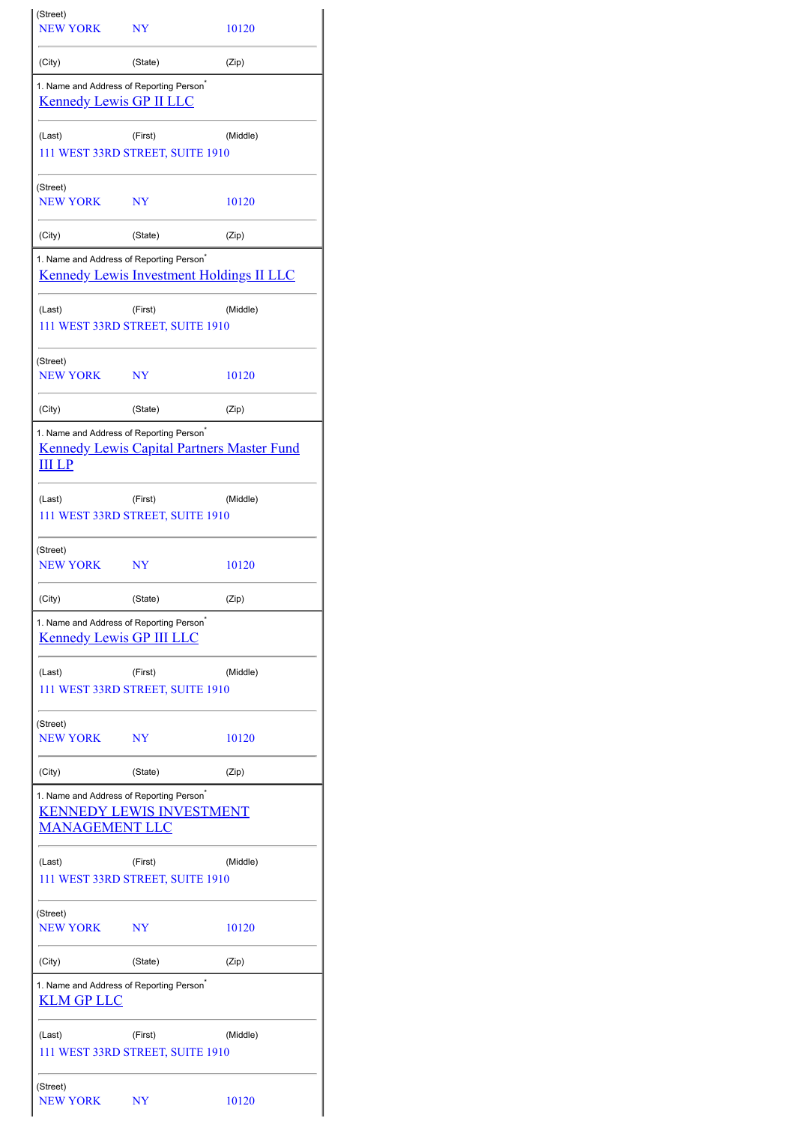| (Street)<br><b>NEW YORK</b>                                                                                      | NY             | 10120                                             |  |  |  |  |
|------------------------------------------------------------------------------------------------------------------|----------------|---------------------------------------------------|--|--|--|--|
| (City)                                                                                                           | (State)        | (Zip)                                             |  |  |  |  |
| 1. Name and Address of Reporting Person <sup>®</sup><br><b>Kennedy Lewis GP II LLC</b>                           |                |                                                   |  |  |  |  |
| (Last)<br>111 WEST 33RD STREET, SUITE 1910                                                                       | (First)        | (Middle)                                          |  |  |  |  |
| (Street)<br><b>NEW YORK</b>                                                                                      | NY             | 10120                                             |  |  |  |  |
| (City)                                                                                                           | (State)        | (Zip)                                             |  |  |  |  |
| 1. Name and Address of Reporting Person <sup>*</sup>                                                             |                | <b>Kennedy Lewis Investment Holdings II LLC</b>   |  |  |  |  |
| (Last)<br>111 WEST 33RD STREET, SUITE 1910                                                                       | (First)        | (Middle)                                          |  |  |  |  |
| (Street)<br><b>NEW YORK</b>                                                                                      | <b>NY</b>      | 10120                                             |  |  |  |  |
| (City)                                                                                                           | (State)        | (Zip)                                             |  |  |  |  |
| 1. Name and Address of Reporting Person <sup>*</sup><br><u>III LP</u>                                            |                | <b>Kennedy Lewis Capital Partners Master Fund</b> |  |  |  |  |
| (Last)<br>111 WEST 33RD STREET, SUITE 1910                                                                       | (First)        | (Middle)                                          |  |  |  |  |
| (Street)<br><b>NEW YORK</b>                                                                                      | N <sub>Y</sub> | 10120                                             |  |  |  |  |
| (City)                                                                                                           | (State)        | (Zip)                                             |  |  |  |  |
| 1. Name and Address of Reporting Person <sup>®</sup><br><b>Kennedy Lewis GP III LLC</b>                          |                |                                                   |  |  |  |  |
| (Last)<br>111 WEST 33RD STREET, SUITE 1910                                                                       | (First)        | (Middle)                                          |  |  |  |  |
| (Street)<br><b>NEW YORK</b>                                                                                      | NY             | 10120                                             |  |  |  |  |
| (City)                                                                                                           | (State)        | (Zip)                                             |  |  |  |  |
| 1. Name and Address of Reporting Person <sup>®</sup><br><b>KENNEDY LEWIS INVESTMENT</b><br><u>MANAGEMENT LLC</u> |                |                                                   |  |  |  |  |
| (Last)<br>111 WEST 33RD STREET, SUITE 1910                                                                       | (First)        | (Middle)                                          |  |  |  |  |
| (Street)<br><b>NEW YORK</b>                                                                                      | NY <sub></sub> | 10120                                             |  |  |  |  |
| (City)                                                                                                           | (State)        | (Zip)                                             |  |  |  |  |
| 1. Name and Address of Reporting Person <sup>*</sup><br><b>KLM GP LLC</b>                                        |                |                                                   |  |  |  |  |
| (Last)<br>111 WEST 33RD STREET, SUITE 1910                                                                       | (First)        | (Middle)                                          |  |  |  |  |
| (Street)<br><b>NEW YORK</b>                                                                                      | <b>NY</b>      | 10120                                             |  |  |  |  |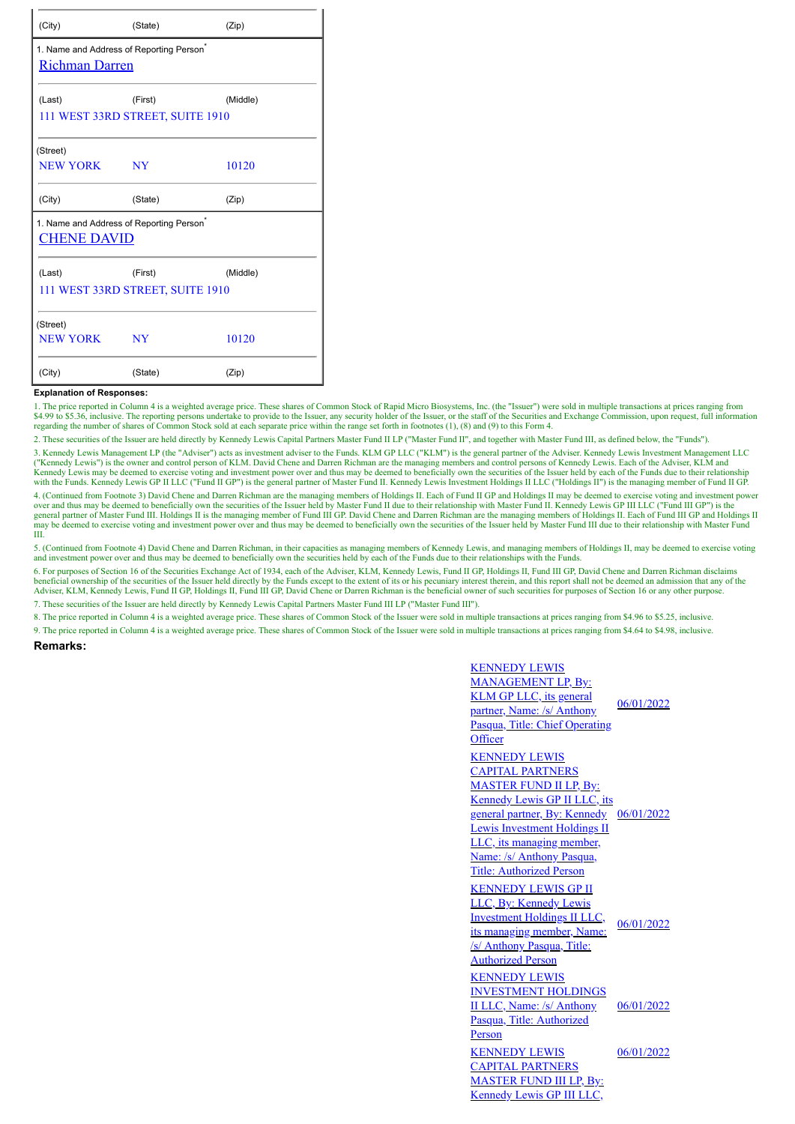| (City)                                                                        | (State)                                     | (Zip)    |  |  |  |  |
|-------------------------------------------------------------------------------|---------------------------------------------|----------|--|--|--|--|
| 1. Name and Address of Reporting Person <sup>®</sup><br><b>Richman Darren</b> |                                             |          |  |  |  |  |
| (Last)                                                                        | (First)<br>111 WEST 33RD STREET, SUITE 1910 | (Middle) |  |  |  |  |
| (Street)<br>NEW YORK NY                                                       |                                             | 10120    |  |  |  |  |
| (City)                                                                        | (State)                                     | (Zip)    |  |  |  |  |
| 1. Name and Address of Reporting Person <sup>®</sup><br><b>CHENE DAVID</b>    |                                             |          |  |  |  |  |
| (Last)                                                                        | (First)<br>111 WEST 33RD STREET, SUITE 1910 | (Middle) |  |  |  |  |
| (Street)<br><b>NEW YORK</b>                                                   | <b>NY</b>                                   | 10120    |  |  |  |  |
| (City)                                                                        | (State)                                     | (Zip)    |  |  |  |  |

### **Explanation of Responses:**

1. The price reported in Column 4 is a weighted average price. These shares of Common Stock of Rapid Micro Biosystems, Inc. (the "Issuer") were sold in multiple transactions at prices ranging from  $\ddot{x}$ .99 to  $\ddot{x}$ , inclusive. The reporting persons undertake to provide to the Issuer, any security holder of the Issuer, or the staff of the Securities and Exchange Commission, upon request, full information regarding the number of shares of Common Stock sold at each separate price within the range set forth in footnotes (1), (8) and (9) to this Form 4.

2. These securities of the Issuer are held directly by Kennedy Lewis Capital Partners Master Fund II LP ("Master Fund II", and together with Master Fund III, as defined below, the "Funds"). 3. Kennedy Lewis Management LP (the "Adviser") acts as investment adviser to the Funds. KLM GP LLC ("KLM") is the general partner of the Adviser. Kennedy Lewis Investment Management LLC ("Kennedy Lewis") is the owner and control person of KLM. David Chene and Darren Richman are the managing members and control persons of Kennedy Lewis. Each of the Adviser, KLM and<br>Kennedy Lewis may be deemed to exercise v with the Funds. Kennedy Lewis GP II LLC ("Fund II GP") is the general partner of Master Fund II. Kennedy Lewis Investment Holdings II LLC ("Holdings II") is the managing member of Fund II GP.

4. (Continued from Footnote 3) David Chene and Darren Richman are the managing members of Holdings II. Each of Fund II GP and Holdings II may be deemed to exercise voting and investment power over and thus may be deemed to beneficially own the securities of the Issuer held by Master Fund II due to their relationship with Master Fund II. Kennedy Lewis GP III LLC ("Fund III GP") is the general partner of Master Fund III. Holdings II is the managing member of Fund III GP. David Chene and Darren Richman are the managing members of Holdings II. Each of Fund III GP and Holdings II<br>may be deemed to exercise v III.

5. (Continued from Footnote 4) David Chene and Darren Richman, in their capacities as managing members of Kennedy Lewis, and managing members of Holdings II, may be deemed to exercise voting<br>and investment power over and t

6. For purposes of Section 16 of the Securities Exchange Act of 1934, each of the Adviser, KLM, Kennedy Lewis, Fund II GP, Holdings II, Fund III GP, David Chene and Darren Richman disclaims<br>beneficial ownership of the secu Adviser, KLM, Kennedy Lewis, Fund II GP, Holdings II, Fund III GP, David Chene or Darren Richman is the beneficial owner of such securities for purposes of Section 16 or any other purpose.

7. These securities of the Issuer are held directly by Kennedy Lewis Capital Partners Master Fund III LP ("Master Fund III").

8. The price reported in Column 4 is a weighted average price. These shares of Common Stock of the Issuer were sold in multiple transactions at prices ranging from \$4.96 to \$5.25, inclusive. 9. The price reported in Column 4 is a weighted average price. These shares of Common Stock of the Issuer were sold in multiple transactions at prices ranging from \$4.64 to \$4.98, inclusive.

#### **Remarks:**

| <b>KENNEDY LEWIS</b><br><b>MANAGEMENT LP, By:</b><br><b>KLM GP LLC</b> , its general<br>partner, Name: /s/ Anthony<br>Pasqua, Title: Chief Operating<br>Officer                                                                                                                                        | 06/01/2022 |
|--------------------------------------------------------------------------------------------------------------------------------------------------------------------------------------------------------------------------------------------------------------------------------------------------------|------------|
| <b>KENNEDY LEWIS</b><br><b>CAPITAL PARTNERS</b><br><b>MASTER FUND II LP, By:</b><br>Kennedy Lewis GP II LLC, its<br>general partner, By: Kennedy 06/01/2022<br><b>Lewis Investment Holdings II</b><br><u>LLC, its managing member,</u><br>Name: /s/ Anthony Pasqua,<br><b>Title: Authorized Person</b> |            |
| <b>KENNEDY LEWIS GP II</b><br>LLC, By: Kennedy Lewis<br><b>Investment Holdings II LLC,</b><br>its managing member, Name:<br>/s/ Anthony Pasqua, Title:<br><b>Authorized Person</b>                                                                                                                     | 06/01/2022 |
| <b>KENNEDY LEWIS</b><br><b>INVESTMENT HOLDINGS</b><br>II LLC, Name: /s/ Anthony<br>Pasqua, Title: Authorized<br>Person                                                                                                                                                                                 | 06/01/2022 |
| <b>KENNEDY LEWIS</b><br><b>CAPITAL PARTNERS</b><br><b>MASTER FUND III LP, By:</b><br>Kennedy Lewis GP III LLC.                                                                                                                                                                                         | 06/01/2022 |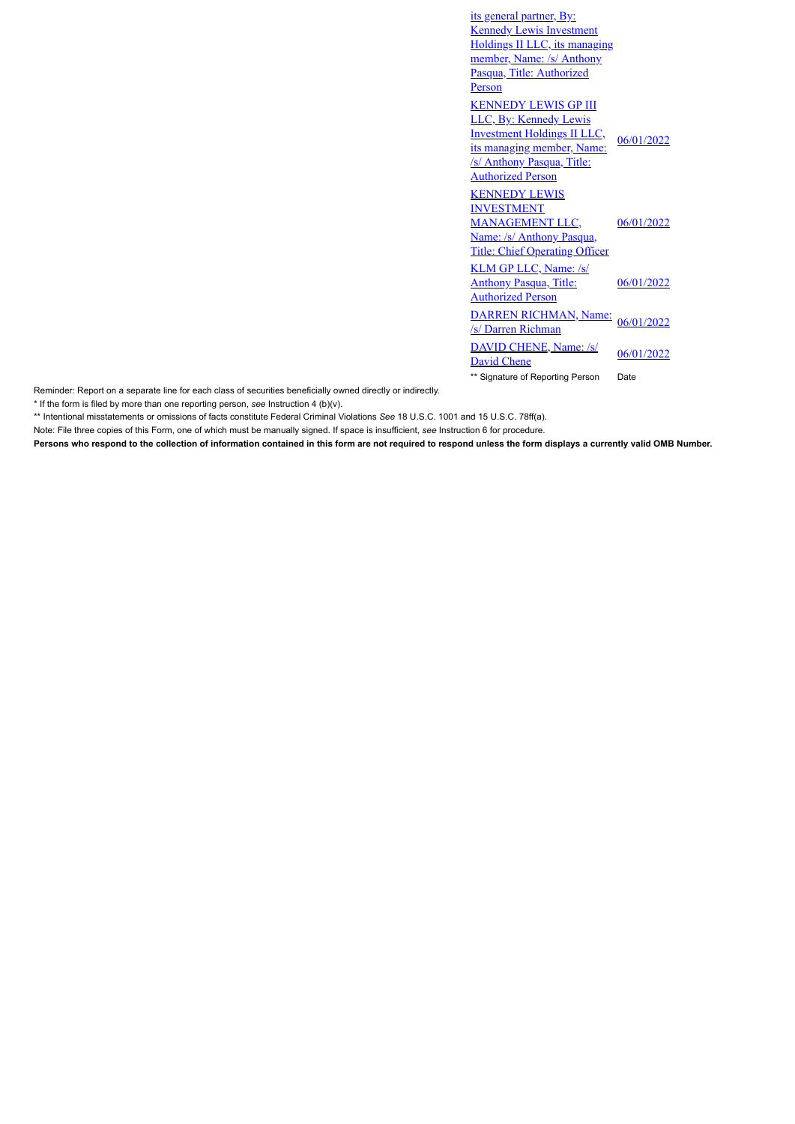| <u>its general partner, By:</u><br><b>Kennedy Lewis Investment</b><br><b>Holdings II LLC, its managing</b><br>member, Name: /s/ Anthony<br>Pasqua, Title: Authorized                              |            |
|---------------------------------------------------------------------------------------------------------------------------------------------------------------------------------------------------|------------|
| Person                                                                                                                                                                                            |            |
| <b>KENNEDY LEWIS GP III</b><br><b>LLC, By: Kennedy Lewis</b><br><b>Investment Holdings II LLC,</b><br>its managing member, Name:<br><u>/s/ Anthony Pasqua, Title:</u><br><b>Authorized Person</b> | 06/01/2022 |
| <b>KENNEDY LEWIS</b><br><b>INVESTMENT</b><br><b>MANAGEMENT LLC,</b><br>Name: /s/ Anthony Pasqua,<br><b>Title: Chief Operating Officer</b>                                                         | 06/01/2022 |
| <b>KLM GP LLC, Name: /s/</b><br><b>Anthony Pasqua, Title:</b><br><b>Authorized Person</b>                                                                                                         | 06/01/2022 |
| <b>DARREN RICHMAN, Name:</b><br>/s/ Darren Richman                                                                                                                                                | 06/01/2022 |
| <b>DAVID CHENE, Name: /s/</b><br><b>David Chene</b>                                                                                                                                               | 06/01/2022 |
| ** Signature of Reporting Person                                                                                                                                                                  | Date       |

Reminder: Report on a separate line for each class of securities beneficially owned directly or indirectly.

\* If the form is filed by more than one reporting person, *see* Instruction 4 (b)(v).

\*\* Intentional misstatements or omissions of facts constitute Federal Criminal Violations *See* 18 U.S.C. 1001 and 15 U.S.C. 78ff(a).

Note: File three copies of this Form, one of which must be manually signed. If space is insufficient, *see* Instruction 6 for procedure.

**Persons who respond to the collection of information contained in this form are not required to respond unless the form displays a currently valid OMB Number.**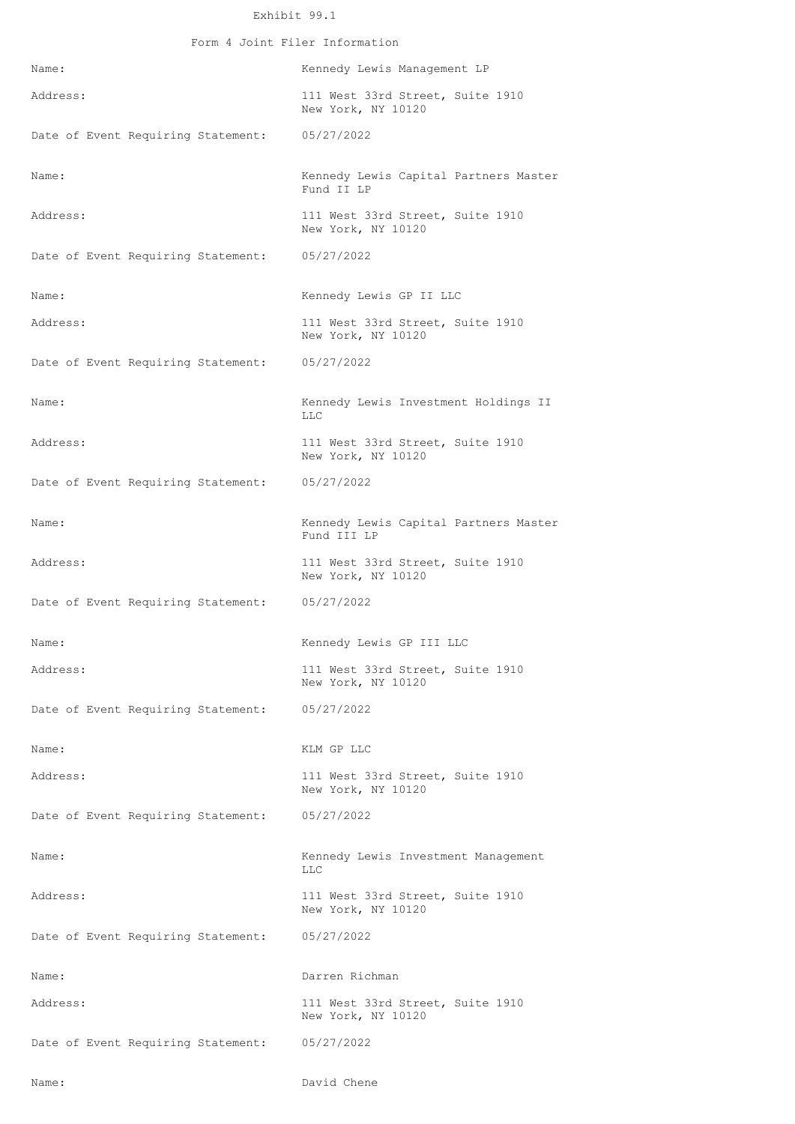# Exhibit 99.1

Form 4 Joint Filer Information

| Name:                              | Kennedy Lewis Management LP                            |
|------------------------------------|--------------------------------------------------------|
| Address:                           | 111 West 33rd Street, Suite 1910<br>New York, NY 10120 |
| Date of Event Requiring Statement: | 05/27/2022                                             |
| Name:                              | Kennedy Lewis Capital Partners Master<br>Fund II LP    |
| Address:                           | 111 West 33rd Street, Suite 1910<br>New York, NY 10120 |
| Date of Event Requiring Statement: | 05/27/2022                                             |
| Name:                              | Kennedy Lewis GP II LLC                                |
| Address:                           | 111 West 33rd Street, Suite 1910<br>New York, NY 10120 |
| Date of Event Requiring Statement: | 05/27/2022                                             |
| Name:                              | Kennedy Lewis Investment Holdings II<br><b>LLC</b>     |
| Address:                           | 111 West 33rd Street, Suite 1910<br>New York, NY 10120 |
| Date of Event Requiring Statement: | 05/27/2022                                             |
| Name:                              | Kennedy Lewis Capital Partners Master<br>Fund III LP   |
| Address:                           | 111 West 33rd Street, Suite 1910<br>New York, NY 10120 |
| Date of Event Requiring Statement: | 05/27/2022                                             |
| Name:                              | Kennedy Lewis GP III LLC                               |
| Address:                           | 111 West 33rd Street, Suite 1910<br>New York, NY 10120 |
| Date of Event Requiring Statement: | 05/27/2022                                             |
| Name:                              | KLM GP LLC                                             |
| Address:                           | 111 West 33rd Street, Suite 1910<br>New York, NY 10120 |
| Date of Event Requiring Statement: | 05/27/2022                                             |
| Name:                              | Kennedy Lewis Investment Management<br><b>LLC</b>      |
| Address:                           | 111 West 33rd Street, Suite 1910<br>New York, NY 10120 |
| Date of Event Requiring Statement: | 05/27/2022                                             |
| Name:                              | Darren Richman                                         |
| Address:                           | 111 West 33rd Street, Suite 1910<br>New York, NY 10120 |
| Date of Event Requiring Statement: | 05/27/2022                                             |
| Name:                              | David Chene                                            |